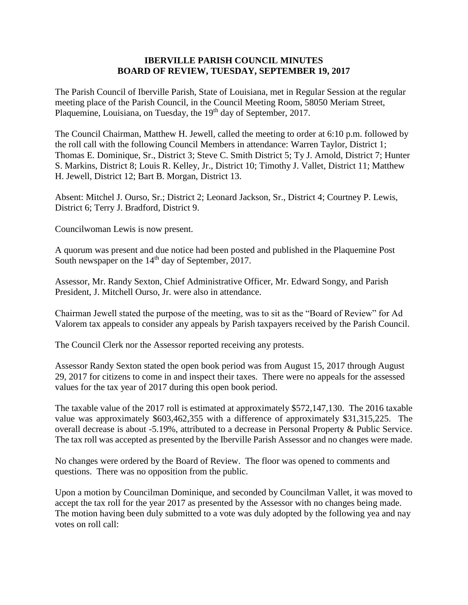## **IBERVILLE PARISH COUNCIL MINUTES BOARD OF REVIEW, TUESDAY, SEPTEMBER 19, 2017**

The Parish Council of Iberville Parish, State of Louisiana, met in Regular Session at the regular meeting place of the Parish Council, in the Council Meeting Room, 58050 Meriam Street, Plaquemine, Louisiana, on Tuesday, the 19<sup>th</sup> day of September, 2017.

The Council Chairman, Matthew H. Jewell, called the meeting to order at 6:10 p.m. followed by the roll call with the following Council Members in attendance: Warren Taylor, District 1; Thomas E. Dominique, Sr., District 3; Steve C. Smith District 5; Ty J. Arnold, District 7; Hunter S. Markins, District 8; Louis R. Kelley, Jr., District 10; Timothy J. Vallet, District 11; Matthew H. Jewell, District 12; Bart B. Morgan, District 13.

Absent: Mitchel J. Ourso, Sr.; District 2; Leonard Jackson, Sr., District 4; Courtney P. Lewis, District 6; Terry J. Bradford, District 9.

Councilwoman Lewis is now present.

A quorum was present and due notice had been posted and published in the Plaquemine Post South newspaper on the 14<sup>th</sup> day of September, 2017.

Assessor, Mr. Randy Sexton, Chief Administrative Officer, Mr. Edward Songy, and Parish President, J. Mitchell Ourso, Jr. were also in attendance.

Chairman Jewell stated the purpose of the meeting, was to sit as the "Board of Review" for Ad Valorem tax appeals to consider any appeals by Parish taxpayers received by the Parish Council.

The Council Clerk nor the Assessor reported receiving any protests.

Assessor Randy Sexton stated the open book period was from August 15, 2017 through August 29, 2017 for citizens to come in and inspect their taxes. There were no appeals for the assessed values for the tax year of 2017 during this open book period.

The taxable value of the 2017 roll is estimated at approximately \$572,147,130. The 2016 taxable value was approximately \$603,462,355 with a difference of approximately \$31,315,225. The overall decrease is about -5.19%, attributed to a decrease in Personal Property & Public Service. The tax roll was accepted as presented by the Iberville Parish Assessor and no changes were made.

No changes were ordered by the Board of Review. The floor was opened to comments and questions. There was no opposition from the public.

Upon a motion by Councilman Dominique, and seconded by Councilman Vallet, it was moved to accept the tax roll for the year 2017 as presented by the Assessor with no changes being made. The motion having been duly submitted to a vote was duly adopted by the following yea and nay votes on roll call: